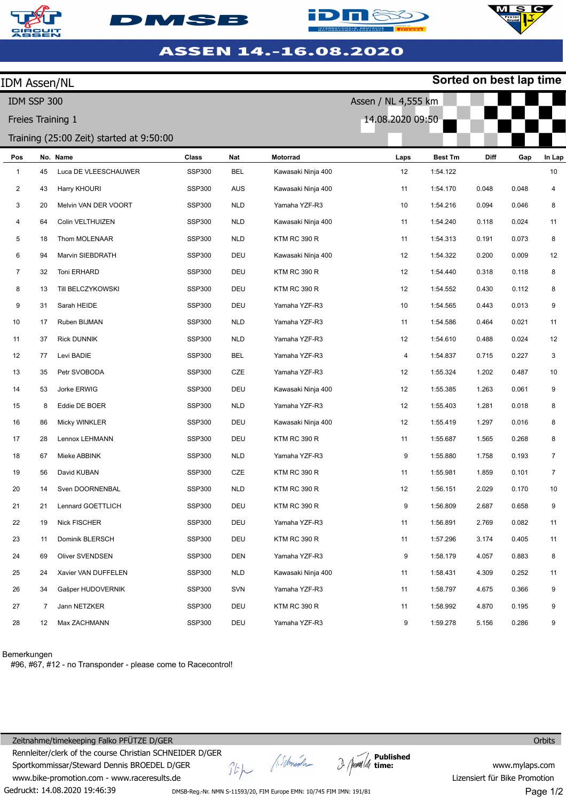







| <b>IDM Assen/NL</b>                      |    |                      |               |            |                     |                     |                | Sorted on best lap time |       |                |
|------------------------------------------|----|----------------------|---------------|------------|---------------------|---------------------|----------------|-------------------------|-------|----------------|
| IDM SSP 300                              |    |                      |               |            |                     | Assen / NL 4,555 km |                |                         |       |                |
| Freies Training 1                        |    |                      |               |            |                     | 14.08.2020 09:50    |                |                         |       |                |
| Training (25:00 Zeit) started at 9:50:00 |    |                      |               |            |                     |                     |                |                         |       |                |
| Pos                                      |    | No. Name             | Class         | Nat        | Motorrad            | Laps                | <b>Best Tm</b> | Diff                    | Gap   | In Lap         |
| 1                                        | 45 | Luca DE VLEESCHAUWER | <b>SSP300</b> | BEL        | Kawasaki Ninja 400  | 12                  | 1:54.122       |                         |       | 10             |
| $\overline{c}$                           | 43 | Harry KHOURI         | <b>SSP300</b> | <b>AUS</b> | Kawasaki Ninja 400  | 11                  | 1:54.170       | 0.048                   | 0.048 | 4              |
| 3                                        | 20 | Melvin VAN DER VOORT | <b>SSP300</b> | <b>NLD</b> | Yamaha YZF-R3       | 10                  | 1:54.216       | 0.094                   | 0.046 | 8              |
| 4                                        | 64 | Colin VELTHUIZEN     | <b>SSP300</b> | <b>NLD</b> | Kawasaki Ninja 400  | 11                  | 1:54.240       | 0.118                   | 0.024 | 11             |
| 5                                        | 18 | Thom MOLENAAR        | <b>SSP300</b> | <b>NLD</b> | <b>KTM RC 390 R</b> | 11                  | 1:54.313       | 0.191                   | 0.073 | 8              |
| 6                                        | 94 | Marvin SIEBDRATH     | <b>SSP300</b> | DEU        | Kawasaki Ninja 400  | 12                  | 1:54.322       | 0.200                   | 0.009 | 12             |
| $\overline{7}$                           | 32 | Toni ERHARD          | <b>SSP300</b> | DEU        | <b>KTM RC 390 R</b> | 12                  | 1:54.440       | 0.318                   | 0.118 | 8              |
| 8                                        | 13 | Till BELCZYKOWSKI    | <b>SSP300</b> | DEU        | KTM RC 390 R        | 12                  | 1:54.552       | 0.430                   | 0.112 | 8              |
| 9                                        | 31 | Sarah HEIDE          | <b>SSP300</b> | DEU        | Yamaha YZF-R3       | 10                  | 1:54.565       | 0.443                   | 0.013 | 9              |
| 10                                       | 17 | Ruben BIJMAN         | <b>SSP300</b> | <b>NLD</b> | Yamaha YZF-R3       | 11                  | 1:54.586       | 0.464                   | 0.021 | 11             |
| 11                                       | 37 | <b>Rick DUNNIK</b>   | <b>SSP300</b> | <b>NLD</b> | Yamaha YZF-R3       | 12                  | 1:54.610       | 0.488                   | 0.024 | 12             |
| 12                                       | 77 | Levi BADIE           | <b>SSP300</b> | BEL        | Yamaha YZF-R3       | 4                   | 1:54.837       | 0.715                   | 0.227 | 3              |
| 13                                       | 35 | Petr SVOBODA         | <b>SSP300</b> | CZE        | Yamaha YZF-R3       | 12                  | 1:55.324       | 1.202                   | 0.487 | 10             |
| 14                                       | 53 | Jorke ERWIG          | <b>SSP300</b> | DEU        | Kawasaki Ninja 400  | 12                  | 1:55.385       | 1.263                   | 0.061 | 9              |
| 15                                       | 8  | Eddie DE BOER        | <b>SSP300</b> | <b>NLD</b> | Yamaha YZF-R3       | 12                  | 1:55.403       | 1.281                   | 0.018 | 8              |
| 16                                       | 86 | Micky WINKLER        | <b>SSP300</b> | DEU        | Kawasaki Ninja 400  | 12                  | 1:55.419       | 1.297                   | 0.016 | 8              |
| 17                                       | 28 | Lennox LEHMANN       | <b>SSP300</b> | DEU        | KTM RC 390 R        | 11                  | 1:55.687       | 1.565                   | 0.268 | 8              |
| 18                                       | 67 | Mieke ABBINK         | <b>SSP300</b> | <b>NLD</b> | Yamaha YZF-R3       | 9                   | 1:55.880       | 1.758                   | 0.193 | $\overline{7}$ |
| 19                                       | 56 | David KUBAN          | <b>SSP300</b> | CZE        | KTM RC 390 R        | 11                  | 1:55.981       | 1.859                   | 0.101 | 7              |
| 20                                       | 14 | Sven DOORNENBAL      | <b>SSP300</b> | <b>NLD</b> | <b>KTM RC 390 R</b> | 12                  | 1:56.151       | 2.029                   | 0.170 | 10             |
| 21                                       | 21 | Lennard GOETTLICH    | <b>SSP300</b> | DEU        | KTM RC 390 R        | 9                   | 1:56.809       | 2.687                   | 0.658 | 9              |
| 22                                       | 19 | Nick FISCHER         | <b>SSP300</b> | DEU        | Yamaha YZF-R3       | 11                  | 1:56.891       | 2.769                   | 0.082 | 11             |
| 23                                       | 11 | Dominik BLERSCH      | <b>SSP300</b> | DEU        | KTM RC 390 R        | 11                  | 1:57.296       | 3.174                   | 0.405 | 11             |
| 24                                       | 69 | Oliver SVENDSEN      | <b>SSP300</b> | DEN        | Yamaha YZF-R3       | 9                   | 1:58.179       | 4.057                   | 0.883 | 8              |
| 25                                       | 24 | Xavier VAN DUFFELEN  | <b>SSP300</b> | <b>NLD</b> | Kawasaki Ninja 400  | 11                  | 1:58.431       | 4.309                   | 0.252 | 11             |
| 26                                       | 34 | Gašper HUDOVERNIK    | <b>SSP300</b> | SVN        | Yamaha YZF-R3       | 11                  | 1:58.797       | 4.675                   | 0.366 | 9              |
| 27                                       | 7  | Jann NETZKER         | <b>SSP300</b> | DEU        | KTM RC 390 R        | 11                  | 1:58.992       | 4.870                   | 0.195 | 9              |
| 28                                       | 12 | Max ZACHMANN         | SSP300        | DEU        | Yamaha YZF-R3       | 9                   | 1:59.278       | 5.156                   | 0.286 | 9              |

## Bemerkungen

#96, #67, #12 - no Transponder - please come to Racecontrol!

Gedruckt: 14.08.2020 19:46:39 Zeitnahme/timekeeping Falko PFÜTZE D/GER Rennleiter/clerk of the course Christian SCHNEIDER D/GER Sportkommissar/Steward Dennis BROEDEL D/GER www.bike-promotion.com - www.raceresults.de

A. Schmich  $\frac{1}{2}$ 

**Published time:**

**Orbits** 

www.mylaps.com Lizensiert für Bike Promotion Page 1/2

DMSB-Reg.-Nr. NMN S-11593/20, FIM Europe EMN: 10/745 FIM IMN: 191/81